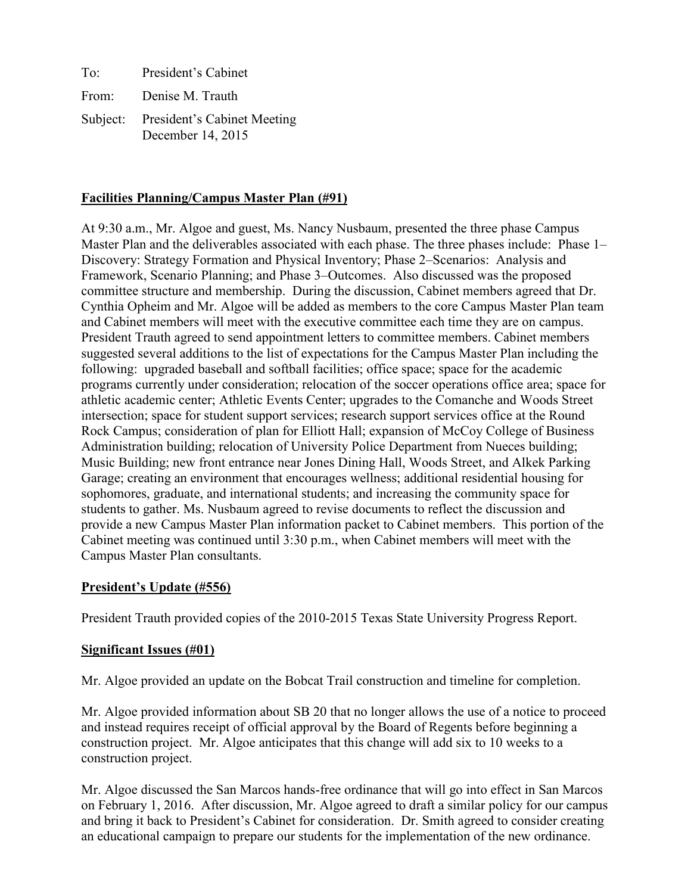To: President's Cabinet From: Denise M. Trauth Subject: President's Cabinet Meeting December 14, 2015

#### **Facilities Planning/Campus Master Plan (#91)**

At 9:30 a.m., Mr. Algoe and guest, Ms. Nancy Nusbaum, presented the three phase Campus Master Plan and the deliverables associated with each phase. The three phases include: Phase 1– Discovery: Strategy Formation and Physical Inventory; Phase 2–Scenarios: Analysis and Framework, Scenario Planning; and Phase 3–Outcomes. Also discussed was the proposed committee structure and membership. During the discussion, Cabinet members agreed that Dr. Cynthia Opheim and Mr. Algoe will be added as members to the core Campus Master Plan team and Cabinet members will meet with the executive committee each time they are on campus. President Trauth agreed to send appointment letters to committee members. Cabinet members suggested several additions to the list of expectations for the Campus Master Plan including the following: upgraded baseball and softball facilities; office space; space for the academic programs currently under consideration; relocation of the soccer operations office area; space for athletic academic center; Athletic Events Center; upgrades to the Comanche and Woods Street intersection; space for student support services; research support services office at the Round Rock Campus; consideration of plan for Elliott Hall; expansion of McCoy College of Business Administration building; relocation of University Police Department from Nueces building; Music Building; new front entrance near Jones Dining Hall, Woods Street, and Alkek Parking Garage; creating an environment that encourages wellness; additional residential housing for sophomores, graduate, and international students; and increasing the community space for students to gather. Ms. Nusbaum agreed to revise documents to reflect the discussion and provide a new Campus Master Plan information packet to Cabinet members. This portion of the Cabinet meeting was continued until 3:30 p.m., when Cabinet members will meet with the Campus Master Plan consultants.

#### **President's Update (#556)**

President Trauth provided copies of the 2010-2015 Texas State University Progress Report.

#### **Significant Issues (#01)**

Mr. Algoe provided an update on the Bobcat Trail construction and timeline for completion.

Mr. Algoe provided information about SB 20 that no longer allows the use of a notice to proceed and instead requires receipt of official approval by the Board of Regents before beginning a construction project. Mr. Algoe anticipates that this change will add six to 10 weeks to a construction project.

Mr. Algoe discussed the San Marcos hands-free ordinance that will go into effect in San Marcos on February 1, 2016. After discussion, Mr. Algoe agreed to draft a similar policy for our campus and bring it back to President's Cabinet for consideration. Dr. Smith agreed to consider creating an educational campaign to prepare our students for the implementation of the new ordinance.